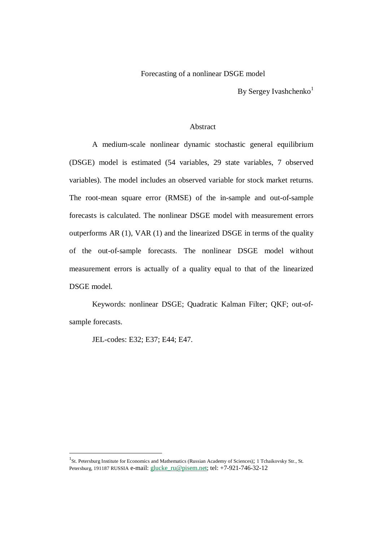## Forecasting of a nonlinear DSGE model

By Sergey Ivashchenko $<sup>1</sup>$ </sup>

# Abstract

A medium-scale nonlinear dynamic stochastic general equilibrium (DSGE) model is estimated (54 variables, 29 state variables, 7 observed variables). The model includes an observed variable for stock market returns. The root-mean square error (RMSE) of the in-sample and out-of-sample forecasts is calculated. The nonlinear DSGE model with measurement errors outperforms AR (1), VAR (1) and the linearized DSGE in terms of the quality of the out-of-sample forecasts. The nonlinear DSGE model without measurement errors is actually of a quality equal to that of the linearized DSGE model.

Keywords: nonlinear DSGE; Quadratic Kalman Filter; QKF; out-ofsample forecasts.

JEL-codes: E32; E37; E44; E47.

<sup>&</sup>lt;sup>1</sup>St. Petersburg Institute for Economics and Mathematics (Russian Academy of Sciences); 1 Tchaikovsky Str., St. Petersburg, 191187 RUSSIA e-mail: [glucke\\_ru@pisem.net;](mailto:glucke_ru@pisem.net) tel: +7-921-746-32-12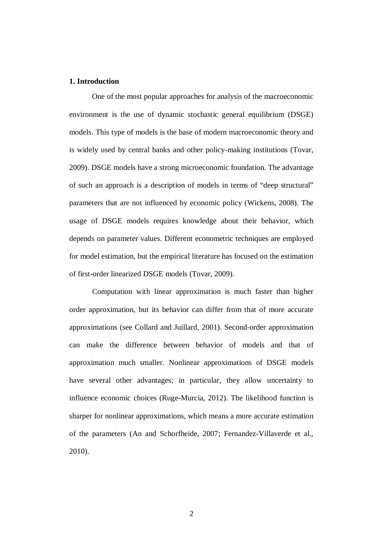## **1. Introduction**

One of the most popular approaches for analysis of the macroeconomic environment is the use of dynamic stochastic general equilibrium (DSGE) models. This type of models is the base of modern macroeconomic theory and is widely used by central banks and other policy-making institutions (Tovar, 2009). DSGE models have a strong microeconomic foundation. The advantage of such an approach is a description of models in terms of "deep structural" parameters that are not influenced by economic policy (Wickens, 2008). The usage of DSGE models requires knowledge about their behavior, which depends on parameter values. Different econometric techniques are employed for model estimation, but the empirical literature has focused on the estimation of first-order linearized DSGE models (Tovar, 2009).

Computation with linear approximation is much faster than higher order approximation, but its behavior can differ from that of more accurate approximations (see Collard and Juillard, 2001). Second-order approximation can make the difference between behavior of models and that of approximation much smaller. Nonlinear approximations of DSGE models have several other advantages; in particular, they allow uncertainty to influence economic choices (Ruge-Murcia, 2012). The likelihood function is sharper for nonlinear approximations, which means a more accurate estimation of the parameters (An and Schorfheide, 2007; Fernandez-Villaverde et al., 2010).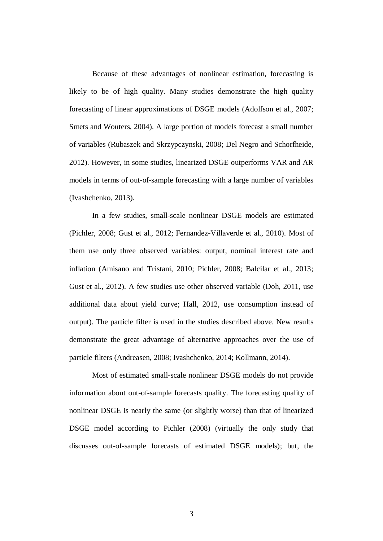Because of these advantages of nonlinear estimation, forecasting is likely to be of high quality. Many studies demonstrate the high quality forecasting of linear approximations of DSGE models (Adolfson et al., 2007; Smets and Wouters, 2004). A large portion of models forecast a small number of variables (Rubaszek and Skrzypczynski, 2008; Del Negro and Schorfheide, 2012). However, in some studies, linearized DSGE outperforms VAR and AR models in terms of out-of-sample forecasting with a large number of variables (Ivashchenko, 2013).

In a few studies, small-scale nonlinear DSGE models are estimated (Pichler, 2008; Gust et al., 2012; Fernandez-Villaverde et al., 2010). Most of them use only three observed variables: output, nominal interest rate and inflation (Amisano and Tristani, 2010; Pichler, 2008; Balcilar et al., 2013; Gust et al., 2012). A few studies use other observed variable (Doh, 2011, use additional data about yield curve; Hall, 2012, use consumption instead of output). The particle filter is used in the studies described above. New results demonstrate the great advantage of alternative approaches over the use of particle filters (Andreasen, 2008; Ivashchenko, 2014; Kollmann, 2014).

Most of estimated small-scale nonlinear DSGE models do not provide information about out-of-sample forecasts quality. The forecasting quality of nonlinear DSGE is nearly the same (or slightly worse) than that of linearized DSGE model according to Pichler (2008) (virtually the only study that discusses out-of-sample forecasts of estimated DSGE models); but, the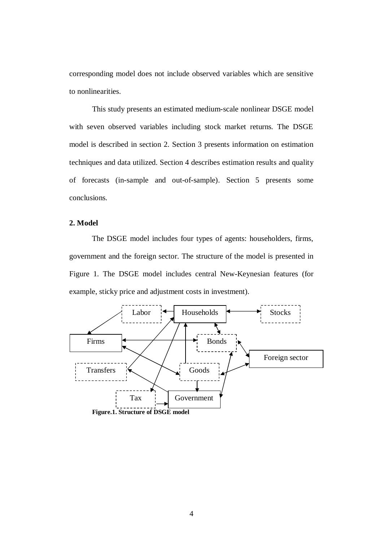corresponding model does not include observed variables which are sensitive to nonlinearities.

This study presents an estimated medium-scale nonlinear DSGE model with seven observed variables including stock market returns. The DSGE model is described in section 2. Section 3 presents information on estimation techniques and data utilized. Section 4 describes estimation results and quality of forecasts (in-sample and out-of-sample). Section 5 presents some conclusions.

# **2. Model**

The DSGE model includes four types of agents: householders, firms, government and the foreign sector. The structure of the model is presented in Figure 1. The DSGE model includes central New-Keynesian features (for example, sticky price and adjustment costs in investment).

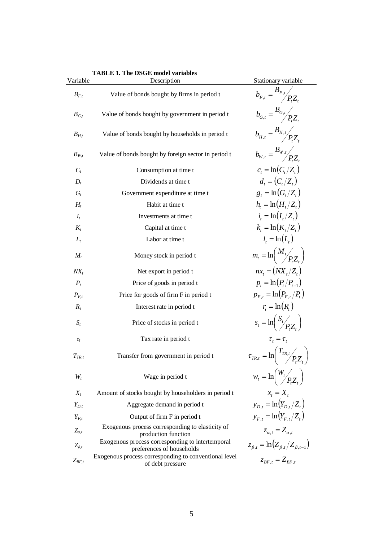|               | <b>TABLE 1. The DSGE model variables</b>                                      |                                                                |
|---------------|-------------------------------------------------------------------------------|----------------------------------------------------------------|
| Variable      | Description                                                                   | Stationary variable                                            |
| $B_{F,t}$     | Value of bonds bought by firms in period t                                    | $b_{F,t} = \frac{B_{F,t}}{P_{t}Z_{t}}$                         |
| $B_{G,t}$     | Value of bonds bought by government in period t                               | $b_{G,t} = \frac{B_{G,t}}{PZ}$                                 |
| $B_{H,t}$     | Value of bonds bought by households in period t                               | $b_{H,t} = \frac{B_{H,t}}{P_{t}Z_{t}}$                         |
| $B_{W,t}$     | Value of bonds bought by foreign sector in period t                           | $b_{w,t} = \frac{B_{w,t}}{P Z}$                                |
| $C_t$         | Consumption at time t                                                         | $c_{t} = \ln(C_{t}/Z_{t})$                                     |
| $D_t$         | Dividends at time t                                                           | $d_{t} = (C_{t}/Z_{t})$                                        |
| $G_t$         | Government expenditure at time t                                              | $g_t = \ln(G_t/Z_t)$                                           |
| $H_t$         | Habit at time t                                                               | $h_{i} = \ln(H_{i}/Z_{i})$                                     |
| $I_t$         | Investments at time t                                                         | $i_{i} = \ln(I_{i}/Z_{i})$                                     |
| $K_t$         | Capital at time t                                                             | $k_{i} = \ln(K_{i}/Z_{i})$                                     |
| $L_t$         | Labor at time t                                                               | $l_{i} = \ln(L_{i})$                                           |
| $M_t$         | Money stock in period t                                                       | $m_t = \ln\left(\frac{M_t}{P_zZ}\right)$                       |
| $NX_t$        | Net export in period t                                                        | $nx_{t} = (NX_{t}/Z_{t})$                                      |
| $P_t$         | Price of goods in period t                                                    | $p_t = \ln(P_t/P_{t-1})$                                       |
| $P_{F,t}$     | Price for goods of firm F in period t                                         | $p_{F,t} = \ln(P_{F,t}/P_t)$                                   |
| $R_t$         | Interest rate in period t                                                     | $r_t = \ln(R_t)$                                               |
| $S_t$         | Price of stocks in period t                                                   | $s_t = \ln\left(\frac{S_t}{P_tZ_t}\right)$                     |
| $\tau_t$      | Tax rate in period t                                                          | $\tau_{\iota} = \tau_{\iota}$                                  |
| $T_{TR,t}$    | Transfer from government in period t                                          | $\tau_{TR,t} = \ln \left( \frac{T_{TR,t}}{P_t Z_t} \right)$    |
| $W_t$         | Wage in period t                                                              | $w_t = \ln\left(\frac{W_t}{P_t Z_t}\right)$                    |
| $X_t$         | Amount of stocks bought by householders in period t                           | $x_t = X_t$                                                    |
| $Y_{D,t}$     | Aggregate demand in period t                                                  | $y_{D,t} = \ln(Y_{D,t}/Z_t)$                                   |
| $Y_{F,t}$     | Output of firm F in period t                                                  | $y_{F,t} = \ln(Y_{F,t}/Z_t)$                                   |
| $Z_{at}$      | Exogenous process corresponding to elasticity of<br>production function       | $z_{\alpha,t} = Z_{\alpha,t}$                                  |
| $Z_{\beta,t}$ | Exogenous process corresponding to intertemporal<br>preferences of households | $z_{\beta,t} = \ln \left( Z_{\beta,t} / Z_{\beta,t-1} \right)$ |
| $Z_{BF.t}$    | Exogenous process corresponding to conventional level<br>of debt pressure     | $z_{BF,t} = Z_{BF,t}$                                          |

**TABLE 1. The DSGE model variables**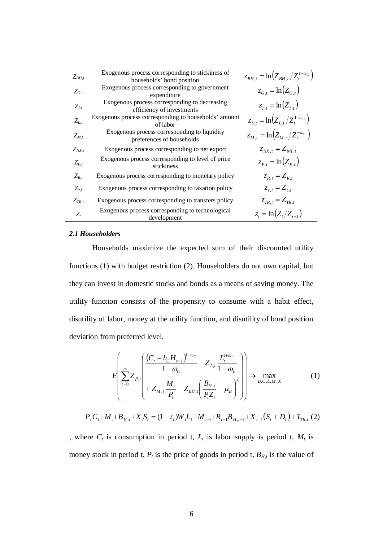| $Z_{BH,t}$   | Exogenous process corresponding to stickiness of<br>households' bond position | $z_{rH_{t}} = \ln \left( Z_{rH_{t}} / Z_{t}^{1-\omega_{c}} \right)$ |
|--------------|-------------------------------------------------------------------------------|---------------------------------------------------------------------|
| $Z_{G,t}$    | Exogenous process corresponding to government<br>expenditure                  | $z_{G,t} = \ln(Z_{G,t})$                                            |
| $Z_{I,t}$    | Exogenous process corresponding to decreasing<br>efficiency of investments    | $z_{i,t} = \ln(Z_{i,t})$                                            |
| $Z_{L,t}$    | Exogenous process corresponding to households' amount<br>of labor             | $z_{L,t} = \ln \left( Z_{L,t} / Z_t^{1-\omega_c} \right)$           |
| $Z_{M,t}$    | Exogenous process corresponding to liquidity<br>preferences of households     | $z_{M,t} = \ln \left( Z_{M,t} / Z_t^{-\omega_c} \right)$            |
| $Z_{NX,t}$   | Exogenous process corresponding to net export                                 | $Z_{NX,t} = Z_{NX,t}$                                               |
| $Z_{P.t}$    | Exogenous process corresponding to level of price<br>stickiness               | $z_{P_t} = \ln(Z_{P_t})$                                            |
| $Z_{R,t}$    | Exogenous process corresponding to monetary policy                            | $z_{R,t} = Z_{R,t}$                                                 |
| $Z_{\tau,t}$ | Exogenous process corresponding to taxation policy                            | $z_{\tau,t} = Z_{\tau,t}$                                           |
| $Z_{TR,t}$   | Exogenous process corresponding to transfers policy                           | $z_{TR,t} = Z_{TR,t}$                                               |
| $Z_{t}$      | Exogenous process corresponding to technological<br>development               | $z_t = \ln(Z_t/Z_{t-1})$                                            |

### *2.1 Householders*

Households maximize the expected sum of their discounted utility functions (1) with budget restriction (2). Householders do not own capital, but they can invest in domestic stocks and bonds as a means of saving money. The utility function consists of the propensity to consume with a habit effect, disutility of labor, money at the utility function, and disutility of bond position deviation from preferred level.

$$
E\left[\sum_{t=0}^{\infty} Z_{\beta,t} \left( \frac{(C_t - h_c H_{t-1})^{1-\omega_c}}{1-\omega_c} - Z_{L,t} \frac{L_t^{1+\omega_L}}{1+\omega_L} \right) \right] \to \max_{B,C,L,M,X} (1)
$$

$$
P_{t}C_{t}+M_{t}+B_{H,t}+X_{t}S_{t}=(1-\tau_{t})W_{t}L_{t}+M_{t-1}+R_{t-1}B_{H,t-1}+X_{t-1}(S_{t}+D_{t})+T_{TR,t}(2)
$$

, where  $C_t$  is consumption in period t,  $L_t$  is labor supply is period t,  $M_t$  is money stock in period t,  $P_t$  is the price of goods in period t,  $B_{H,t}$  is the value of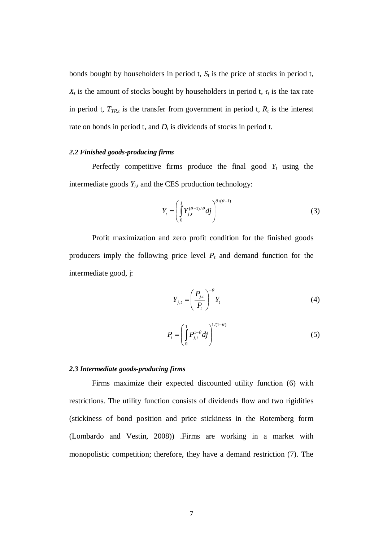bonds bought by householders in period t,  $S_t$  is the price of stocks in period t,  $X_t$  is the amount of stocks bought by householders in period t,  $\tau_t$  is the tax rate in period t,  $T_{TR,t}$  is the transfer from government in period t,  $R_t$  is the interest rate on bonds in period t, and  $D_t$  is dividends of stocks in period t.

# *2.2 Finished goods-producing firms*

Perfectly competitive firms produce the final good  $Y_t$  using the intermediate goods  $Y_{j,t}$  and the CES production technology:

$$
Y_{t} = \left(\int_{0}^{1} Y_{j,t}^{(\theta-1)/\theta} dj\right)^{\theta/(\theta-1)}
$$
(3)

Profit maximization and zero profit condition for the finished goods producers imply the following price level *Pt* and demand function for the intermediate good, j:

$$
Y_{j,t} = \left(\frac{P_{j,t}}{P_t}\right)^{-\theta} Y_t
$$
\n(4)

$$
P_t = \left(\int_0^1 P_{j,t}^{1-\theta} df\right)^{1/(1-\theta)}
$$
\n(5)

#### *2.3 Intermediate goods-producing firms*

Firms maximize their expected discounted utility function (6) with restrictions. The utility function consists of dividends flow and two rigidities (stickiness of bond position and price stickiness in the Rotemberg form (Lombardo and Vestin, 2008)) .Firms are working in a market with monopolistic competition; therefore, they have a demand restriction (7). The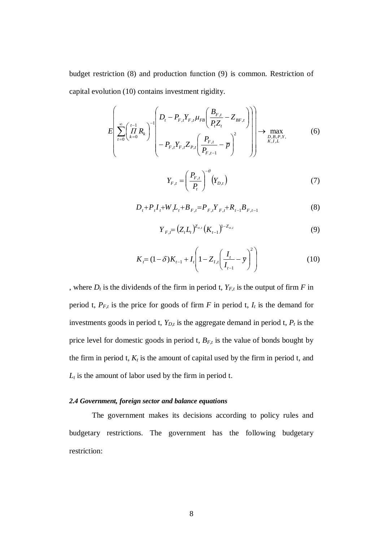budget restriction (8) and production function (9) is common. Restriction of capital evolution (10) contains investment rigidity.

$$
E\left[\sum_{t=0}^{\infty} \left(\prod_{k=0}^{t-1} R_k\right)^{-1} \left(\frac{D_t - P_{F,t} Y_{F,t} \mu_{FB} \left(\frac{B_{F,t}}{P_t Z_t} - Z_{BF,t}\right)}{-P_{F,t} Y_{F,t} Z_{P,t} \left(\frac{P_{F,t}}{P_{F,t-1}} - \overline{p}\right)^2}\right)\right] \to \max_{\substack{D,B,P,Y,\\K,I,L}}(6)
$$
\n
$$
Y_{F,t} = \left(\frac{P_{F,t}}{P_t}\right)^{-\theta} (Y_{D,t})
$$
\n(7)

$$
D_{t} + P_{t} I_{t} + W_{t} L_{t} + B_{F,t} = P_{F,t} Y_{F,t} + R_{t-1} B_{F,t-1}
$$
\n
$$
\tag{8}
$$

$$
Y_{F,t} = (Z_t L_t)^{Z_{\alpha,t}} (K_{t-1})^{1-Z_{\alpha,t}}
$$
\n(9)

$$
K_{t} = (1 - \delta)K_{t-1} + I_{t} \left(1 - Z_{t,t} \left(\frac{I_{t}}{I_{t-1}} - \bar{y}\right)^{2}\right)
$$
(10)

, where  $D_t$  is the dividends of the firm in period t,  $Y_{F,t}$  is the output of firm  $F$  in period t,  $P_{F,t}$  is the price for goods of firm *F* in period t,  $I_t$  is the demand for investments goods in period t,  $Y_{D,t}$  is the aggregate demand in period t,  $P_t$  is the price level for domestic goods in period t, *BF,t* is the value of bonds bought by the firm in period t,  $K_t$  is the amount of capital used by the firm in period t, and  $L_t$  is the amount of labor used by the firm in period t.

### *2.4 Government, foreign sector and balance equations*

The government makes its decisions according to policy rules and budgetary restrictions. The government has the following budgetary restriction: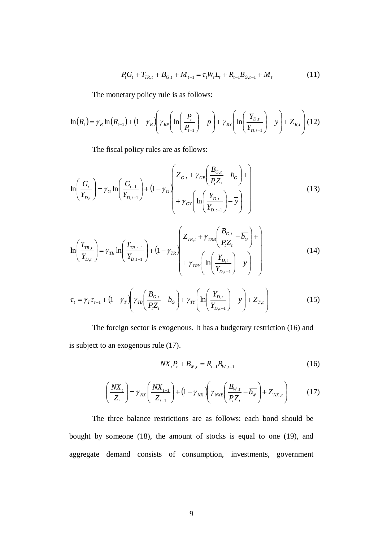$$
P_t G_t + T_{TR,t} + B_{G,t} + M_{t-1} = \tau_t W_t L_t + R_{t-1} B_{G,t-1} + M_t
$$
\n(11)

The monetary policy rule is as follows:

$$
\ln(R_{t}) = \gamma_{R} \ln(R_{t-1}) + (1 - \gamma_{R}) \left( \gamma_{RP} \left( \ln \left( \frac{P_{t}}{P_{t-1}} \right) - \overline{P} \right) + \gamma_{RY} \left( \ln \left( \frac{Y_{D,t}}{Y_{D,t-1}} \right) - \overline{Y} \right) + Z_{R,t} \right) (12)
$$

The fiscal policy rules are as follows:

$$
\ln\left(\frac{G_{t}}{Y_{D,t}}\right) = \gamma_G \ln\left(\frac{G_{t-1}}{Y_{D,t-1}}\right) + (1 - \gamma_G) \left(\frac{Z_{G,t} + \gamma_{GB}\left(\frac{B_{G,t}}{P_{t}Z_{t}} - \overline{b_G}\right) + \gamma_{GF}\left(\ln\left(\frac{Y_{D,t}}{Y_{D,t-1}}\right) - \overline{y}\right)}{Y_{D,t-1}}\right)
$$
(13)

$$
\ln\left(\frac{T_{TR,t}}{Y_{D,t}}\right) = \gamma_{TR} \ln\left(\frac{T_{TR,t-1}}{Y_{D,t-1}}\right) + \left(1 - \gamma_{TR}\right) \left(\frac{Z_{TR,t} + \gamma_{TRB}\left(\frac{B_{G,t}}{P_{t}Z_{t}} - \overline{b_{G}}\right) + \gamma_{TRY}\left(\ln\left(\frac{Y_{D,t}}{Y_{D,t-1}}\right) - \overline{y}\right)\right)
$$
(14)

$$
\tau_{t} = \gamma_{T}\tau_{t-1} + \left(1 - \gamma_{T}\left(\gamma_{TB}\left(\frac{B_{G,t}}{P_{t}Z_{t}} - \overline{b_{G}}\right) + \gamma_{TY}\left(\ln\left(\frac{Y_{D,t}}{Y_{D,t-1}}\right) - \overline{y}\right) + Z_{T,t}\right)
$$
(15)

The foreign sector is exogenous. It has a budgetary restriction (16) and is subject to an exogenous rule (17).

$$
NX_{t}P_{t} + B_{W,t} = R_{t-1}B_{W,t-1}
$$
\n(16)

$$
\left(\frac{NX_t}{Z_t}\right) = \gamma_{NX}\left(\frac{NX_{t-1}}{Z_{t-1}}\right) + \left(1 - \gamma_{NX}\right)\left(\gamma_{NXB}\left(\frac{B_{W,t}}{P_t Z_t} - \overline{b_W}\right) + Z_{NX,t}\right) \tag{17}
$$

The three balance restrictions are as follows: each bond should be bought by someone (18), the amount of stocks is equal to one (19), and aggregate demand consists of consumption, investments, government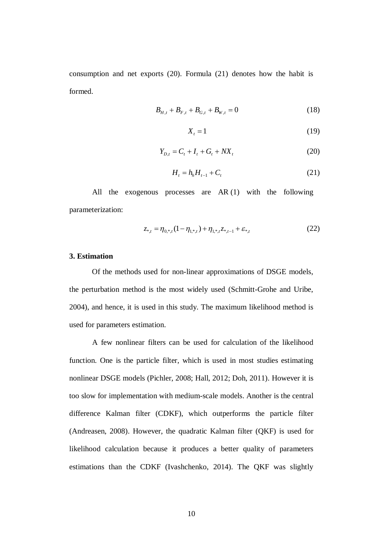consumption and net exports (20). Formula (21) denotes how the habit is formed.

$$
B_{H,t} + B_{F,t} + B_{G,t} + B_{W,t} = 0 \tag{18}
$$

$$
X_t = 1\tag{19}
$$

$$
Y_{D,t} = C_t + I_t + G_t + N X_t
$$
\n(20)

$$
H_t = h_h H_{t-1} + C_t \tag{21}
$$

All the exogenous processes are AR (1) with the following parameterization:

$$
z_{*,t} = \eta_{0,*,t} (1 - \eta_{1,*,t}) + \eta_{1,*,t} z_{*,t-1} + \varepsilon_{*,t}
$$
 (22)

### **3. Estimation**

Of the methods used for non-linear approximations of DSGE models, the perturbation method is the most widely used (Schmitt-Grohe and Uribe, 2004), and hence, it is used in this study. The maximum likelihood method is used for parameters estimation.

A few nonlinear filters can be used for calculation of the likelihood function. One is the particle filter, which is used in most studies estimating nonlinear DSGE models (Pichler, 2008; Hall, 2012; Doh, 2011). However it is too slow for implementation with medium-scale models. Another is the central difference Kalman filter (CDKF), which outperforms the particle filter (Andreasen, 2008). However, the quadratic Kalman filter (QKF) is used for likelihood calculation because it produces a better quality of parameters estimations than the CDKF (Ivashchenko, 2014). The QKF was slightly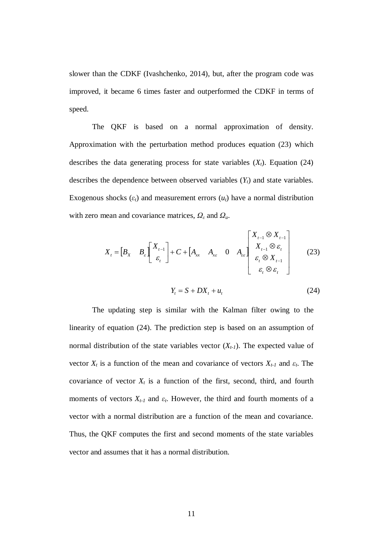slower than the CDKF (Ivashchenko, 2014), but, after the program code was improved, it became 6 times faster and outperformed the CDKF in terms of speed.

The QKF is based on a normal approximation of density. Approximation with the perturbation method produces equation (23) which describes the data generating process for state variables  $(X_t)$ . Equation (24) describes the dependence between observed variables (*Yt*) and state variables. Exogenous shocks  $(\varepsilon_t)$  and measurement errors  $(u_t)$  have a normal distribution with zero mean and covariance matrices,  $\Omega_{\varepsilon}$  and  $\Omega_{\varepsilon}$ .

$$
X_{t} = \begin{bmatrix} B_{X} & B_{\varepsilon} \end{bmatrix} \begin{bmatrix} X_{t-1} \\ \varepsilon_{t} \end{bmatrix} + C + \begin{bmatrix} A_{xx} & A_{xz} & 0 & A_{zz} \end{bmatrix} \begin{bmatrix} X_{t-1} \otimes X_{t-1} \\ X_{t-1} \otimes \varepsilon_{t} \\ \varepsilon_{t} \otimes X_{t-1} \\ \varepsilon_{t} \otimes \varepsilon_{t} \end{bmatrix} \tag{23}
$$

$$
Y_t = S + DX_t + u_t \tag{24}
$$

The updating step is similar with the Kalman filter owing to the linearity of equation (24). The prediction step is based on an assumption of normal distribution of the state variables vector  $(X_{t-1})$ . The expected value of vector  $X_t$  is a function of the mean and covariance of vectors  $X_{t-1}$  and  $\varepsilon_t$ . The covariance of vector  $X_t$  is a function of the first, second, third, and fourth moments of vectors  $X_{t-1}$  and  $\varepsilon_t$ . However, the third and fourth moments of a vector with a normal distribution are a function of the mean and covariance. Thus, the QKF computes the first and second moments of the state variables vector and assumes that it has a normal distribution.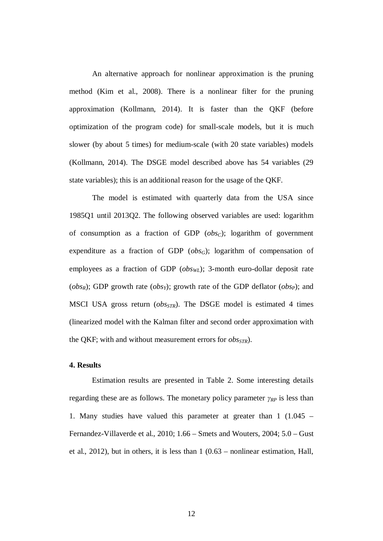An alternative approach for nonlinear approximation is the pruning method (Kim et al., 2008). There is a nonlinear filter for the pruning approximation (Kollmann, 2014). It is faster than the QKF (before optimization of the program code) for small-scale models, but it is much slower (by about 5 times) for medium-scale (with 20 state variables) models (Kollmann, 2014). The DSGE model described above has 54 variables (29 state variables); this is an additional reason for the usage of the QKF.

The model is estimated with quarterly data from the USA since 1985Q1 until 2013Q2. The following observed variables are used: logarithm of consumption as a fraction of GDP (*obsC*); logarithm of government expenditure as a fraction of GDP (*obsG*); logarithm of compensation of employees as a fraction of GDP (*obsWL*); 3-month euro-dollar deposit rate ( $obs_R$ ); GDP growth rate ( $obs_Y$ ); growth rate of the GDP deflator ( $obs_P$ ); and MSCI USA gross return (*obsSTR*). The DSGE model is estimated 4 times (linearized model with the Kalman filter and second order approximation with the QKF; with and without measurement errors for *obsSTR*).

## **4. Results**

Estimation results are presented in Table 2. Some interesting details regarding these are as follows. The monetary policy parameter  $\gamma_{RP}$  is less than 1. Many studies have valued this parameter at greater than 1 (1.045 – Fernandez-Villaverde et al., 2010; 1.66 – Smets and Wouters, 2004; 5.0 – Gust et al., 2012), but in others, it is less than 1 (0.63 – nonlinear estimation, Hall,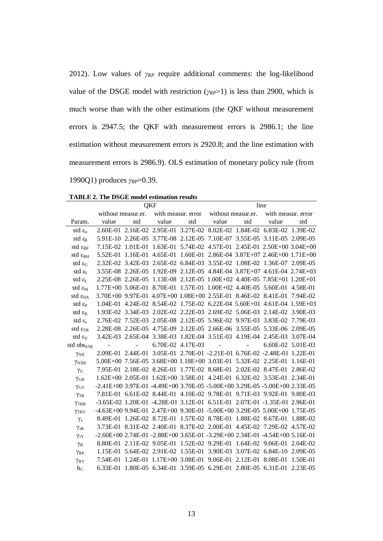2012). Low values of  $\gamma_{RP}$  require additional comments: the log-likelihood value of the DSGE model with restriction  $(\gamma_{RP} > 1)$  is less than 2900, which is much worse than with the other estimations (the QKF without measurement errors is 2947.5; the QKF with measurement errors is 2986.1; the line estimation without measurement errors is 2920.8; and the line estimation with measurement errors is 2986.9). OLS estimation of monetary policy rule (from 1990Q1) produces *γ<sub>RP</sub>*=0.39.

|                            | OKF                                                                                         |          |                                                                           |     | line                                                 |                   |                                                        |          |  |
|----------------------------|---------------------------------------------------------------------------------------------|----------|---------------------------------------------------------------------------|-----|------------------------------------------------------|-------------------|--------------------------------------------------------|----------|--|
|                            | without measur.er.                                                                          |          |                                                                           |     | with measur, error without measur.er.                |                   | with measur. error                                     |          |  |
| Param.                     | value                                                                                       | std      | value                                                                     | std | value                                                | std               | value                                                  | std      |  |
| std $\varepsilon_{\alpha}$ |                                                                                             |          | 2.60E-01 2.16E-02 2.95E-01 3.27E-02 8.02E-02 1.84E-02 6.83E-02 1.39E-02   |     |                                                      |                   |                                                        |          |  |
| std $\varepsilon_{\beta}$  |                                                                                             |          | 5.91E-10 2.26E-05 3.77E-08 2.12E-05 7.10E-07 3.55E-05 3.11E-05 2.09E-05   |     |                                                      |                   |                                                        |          |  |
| std $\varepsilon_{BF}$     | 7.15E-02                                                                                    | 1.01E-01 | $1.63E-01$                                                                |     |                                                      |                   | 5.74E-02 4.57E-01 2.45E-01 2.50E+00 3.04E+00           |          |  |
| std $\varepsilon_{\rm BH}$ | 5.52E-01                                                                                    | 1.16E-01 | $4.65E-01$                                                                |     |                                                      |                   | $1.60E-01$ $2.86E-04$ $3.87E+07$ $2.46E+00$ $1.71E+00$ |          |  |
| std $\varepsilon_G$        |                                                                                             |          | 2.32E-02 3.42E-03 2.65E-02 6.84E-03 3.55E-02 1.08E-02 1.36E-07 2.09E-05   |     |                                                      |                   |                                                        |          |  |
| std $\varepsilon_{I}$      |                                                                                             |          | 3.55E-08 2.26E-05 1.92E-09 2.12E-05 4.84E-04 3.87E+07 4.61E-04 2.74E+03   |     |                                                      |                   |                                                        |          |  |
| std $\varepsilon_{I}$      |                                                                                             |          | 2.25E-08 2.26E-05 1.13E-08 2.12E-05 1.00E+02 4.40E-05 7.85E+01 1.20E+01   |     |                                                      |                   |                                                        |          |  |
| std $\varepsilon_{\rm M}$  |                                                                                             |          | 1.77E+00 5.06E-01 8.70E-01 1.57E-01 1.00E+02 4.40E-05 5.60E-01 4.58E-01   |     |                                                      |                   |                                                        |          |  |
| std $\epsilon_{\rm NN}$    |                                                                                             |          | 3.70E+00 9.97E-01 4.07E+00 1.08E+00 2.55E-01 8.46E-02 8.41E-01 7.94E-02   |     |                                                      |                   |                                                        |          |  |
| std $\varepsilon_{\rm P}$  | 1.04E-01                                                                                    |          | 4.24E-02 8.54E-02 1.75E-02 6.22E-04 5.60E+01 4.61E-04 1.59E+03            |     |                                                      |                   |                                                        |          |  |
| std $\varepsilon_{R}$      |                                                                                             |          | 1.93E-02 3.34E-03 2.02E-02 2.22E-03 2.69E-02 5.06E-03 2.14E-02 3.90E-03   |     |                                                      |                   |                                                        |          |  |
| std $\varepsilon_{\tau}$   |                                                                                             |          | 2.76E-02 7.52E-03 2.05E-08 2.12E-05 5.96E-02 9.97E-03 3.83E-02 7.79E-03   |     |                                                      |                   |                                                        |          |  |
| std $\varepsilon_{TR}$     |                                                                                             |          | 2.28E-08 2.26E-05 4.75E-09 2.12E-05 2.66E-06 3.55E-05 5.33E-06 2.09E-05   |     |                                                      |                   |                                                        |          |  |
| std $\epsilon_{Y}$         |                                                                                             |          | 3.42E-03 2.65E-04 3.38E-03 1.82E-04 3.51E-03 4.19E-04 2.45E-03 3.07E-04   |     |                                                      |                   |                                                        |          |  |
| std $obsSTR$               |                                                                                             |          | 6.70E-02 4.17E-03                                                         |     | $\alpha$ , $\alpha$ , $\alpha$ , $\alpha$ , $\alpha$ | $\Delta \sim 100$ | 6.60E-02 5.01E-03                                      |          |  |
| $\gamma_{\rm NX}$          |                                                                                             |          | 2.09E-01 2.44E-01 3.05E-01 2.70E-01 -2.21E-01 6.76E-02 -2.48E-01 1.22E-01 |     |                                                      |                   |                                                        |          |  |
| YNXB                       |                                                                                             |          | 5.00E+00 7.56E-05 3.68E+00 1.18E+00 3.03E-01 5.32E-02 2.25E-01            |     |                                                      |                   |                                                        | 1.16E-01 |  |
| $\gamma_{\rm G}$           |                                                                                             |          | 7.95E-01 2.18E-02 8.26E-01 1.77E-02 8.68E-01 2.02E-02 8.47E-01 2.86E-02   |     |                                                      |                   |                                                        |          |  |
| $\gamma$ <sub>GB</sub>     |                                                                                             |          | 1.62E+00 2.05E-01 1.62E+00 3.58E-01 4.24E-01 6.32E-02 3.53E-01 2.34E-01   |     |                                                      |                   |                                                        |          |  |
| $\gamma$ <sub>GY</sub>     | -2.41E+00 3.97E-01 -4.49E+00 3.70E-05 -5.00E+00 3.29E-05 -5.00E+00 2.33E-05                 |          |                                                                           |     |                                                      |                   |                                                        |          |  |
| $\gamma_{\rm{TR}}$         | 7.81E-01 6.61E-02 8.44E-01 4.10E-02 9.78E-01 9.71E-03 9.92E-01 9.80E-03                     |          |                                                                           |     |                                                      |                   |                                                        |          |  |
| YTRB                       | -3.65E-02 1.20E-01 -4.28E-01 3.12E-01 6.51E-01 2.07E-01 -1.35E-01 2.96E-01                  |          |                                                                           |     |                                                      |                   |                                                        |          |  |
| YTRY                       | -4.63E+00 9.94E-01 2.47E+00 9.30E-01 -5.00E+00 3.29E-05 5.00E+00 1.75E-05                   |          |                                                                           |     |                                                      |                   |                                                        |          |  |
| $\gamma_{\tau}$            |                                                                                             |          | 8.49E-01 1.26E-02 8.72E-01 1.57E-02 8.78E-01 1.88E-02 8.67E-01            |     |                                                      |                   |                                                        | 1.88E-02 |  |
| $\gamma_{\tau B}$          |                                                                                             |          | 3.73E-01 8.31E-02 2.40E-01 8.37E-02 2.00E-01 4.45E-02 7.29E-02 4.57E-02   |     |                                                      |                   |                                                        |          |  |
| $\gamma_{\tau Y}$          | $-2.60E+00$ $2.74E-01$ $-2.88E+00$ $3.65E-01$ $-3.29E+00$ $2.34E-01$ $-4.54E+00$ $5.16E-01$ |          |                                                                           |     |                                                      |                   |                                                        |          |  |
| $\gamma_R$                 |                                                                                             |          | 8.80E-01 2.11E-02 9.05E-01 1.52E-02 9.29E-01 1.64E-02 9.06E-01 2.04E-02   |     |                                                      |                   |                                                        |          |  |
| $\gamma_{RP}$              |                                                                                             |          | 1.15E-01 5.64E-02 2.91E-02 1.55E-01 3.90E-03 3.07E-02 6.84E-10 2.09E-05   |     |                                                      |                   |                                                        |          |  |
| $\gamma_{\rm RY}$          | 7.54E-01                                                                                    |          | 1.24E-01 1.17E+00 3.08E-01 9.06E-01 2.12E-01                              |     |                                                      |                   | 8.08E-01                                               | 1.50E-01 |  |
| $h_{C}$                    |                                                                                             |          | 6.33E-01 1.80E-05 6.34E-01 3.59E-05 6.29E-01 2.80E-05 6.31E-01 2.23E-05   |     |                                                      |                   |                                                        |          |  |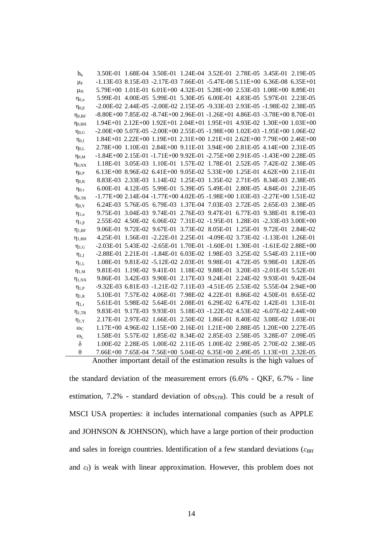| h <sub>h</sub>        | 3.50E-01 1.68E-04 3.50E-01 1.24E-04 3.52E-01 2.78E-05 3.45E-01 2.19E-05          |          |  |                                              |                                                                   |          |
|-----------------------|----------------------------------------------------------------------------------|----------|--|----------------------------------------------|-------------------------------------------------------------------|----------|
| $\mu_F$               | $-1.13E-03$ 8.15E-03 $-2.17E-03$ 7.66E-01 $-5.47E-08$ 5.11E+00 6.36E-08 6.35E+01 |          |  |                                              |                                                                   |          |
| $\mu_{\rm H}$         | 5.79E+00 1.01E-01 6.01E+00 4.32E-01 5.28E+00 2.53E-03 1.08E+00 8.89E-01          |          |  |                                              |                                                                   |          |
| $\eta_{0,\alpha}$     | 5.99E-01 4.00E-05 5.99E-01 5.30E-05 6.00E-01 4.83E-05 5.97E-01 2.23E-05          |          |  |                                              |                                                                   |          |
| $\eta_{0,\beta}$      | -2.00E-02 2.44E-05 -2.00E-02 2.15E-05 -9.33E-03 2.93E-05 -1.98E-02 2.38E-05      |          |  |                                              |                                                                   |          |
| $\eta_{0,BF}$         | -8.80E+00 7.85E-02 -8.74E+00 2.96E-01 -1.26E+01 4.86E-03 -3.78E+00 8.70E-01      |          |  |                                              |                                                                   |          |
| $\eta_{0,BH}$         | 1.94E+01 2.12E+00 1.92E+01 2.04E+01 1.95E+01 4.93E-02 1.30E+00 1.03E+00          |          |  |                                              |                                                                   |          |
| $\eta_{0,G}$          | -2.00E+00 5.07E-05 -2.00E+00 2.55E-05 -1.98E+00 1.02E-03 -1.95E+00 1.06E-02      |          |  |                                              |                                                                   |          |
| $\eta_{0,I}$          | 1.84E+01 2.22E+00 1.19E+01 2.31E+00 1.21E+01 2.62E+00 7.79E+00 2.46E+00          |          |  |                                              |                                                                   |          |
| $\eta_{0,L}$          | 2.78E+00 1.10E-01 2.84E+00 9.11E-01 3.94E+00 2.81E-05 4.14E+00 2.31E-05          |          |  |                                              |                                                                   |          |
| $\eta_{0,M}$          | -1.84E+00 2.15E-01 -1.71E+00 9.92E-01 -2.75E+00 2.91E-05 -1.43E+00 2.28E-05      |          |  |                                              |                                                                   |          |
| $\eta_{0,NX}$         | 1.18E-01 3.05E-03 1.10E-01 1.57E-02 1.78E-01 2.52E-05 7.42E-02 2.38E-05          |          |  |                                              |                                                                   |          |
| $\eta_{0,P}$          | 6.13E+00 8.96E-02 6.41E+00 9.05E-02 5.33E+00 1.25E-01 4.62E+00 2.11E-01          |          |  |                                              |                                                                   |          |
| $\eta_{0,R}$          | 8.83E-03 2.33E-03 1.14E-02 1.25E-03 1.35E-02 2.71E-05 8.34E-03 2.38E-05          |          |  |                                              |                                                                   |          |
| $\eta_{0,\tau}$       | 6.00E-01 4.12E-05 5.99E-01 5.39E-05 5.49E-01 2.80E-05 4.84E-01 2.21E-05          |          |  |                                              |                                                                   |          |
| $\eta_{0,TR}$         | -1.77E+00 2.14E-04 -1.77E+00 4.02E-05 -1.98E+00 1.03E-03 -2.27E+00 1.51E-02      |          |  |                                              |                                                                   |          |
| $\eta_{0,Y}$          | 6.24E-03 5.76E-05 6.79E-03 1.37E-04 7.03E-03 2.72E-05 2.65E-03 2.38E-05          |          |  |                                              |                                                                   |          |
| $\eta_{1,\alpha}$     | 9.75E-01                                                                         |          |  |                                              | 3.04E-03 9.74E-01 2.76E-03 9.47E-01 6.77E-03 9.38E-01 8.19E-03    |          |
| $\eta_{1,\beta}$      | 2.55E-02 4.50E-02 6.06E-02 7.31E-02 -1.95E-01 1.28E-01 -2.33E-03 3.00E+00        |          |  |                                              |                                                                   |          |
| $\eta_{1,BF}$         | 9.06E-01 9.72E-02 9.67E-01 3.73E-02 8.05E-01 1.25E-01 9.72E-01 2.84E-02          |          |  |                                              |                                                                   |          |
| $\eta_{1,BH}$         | 4.25E-01                                                                         |          |  |                                              | 1.56E-01 -2.22E-01 2.25E-01 -4.09E-02 3.73E-02 -1.13E-01 1.26E-01 |          |
| $\eta_{1,G}$          | -2.03E-01 5.43E-02 -2.65E-01 1.70E-01 -1.60E-01 1.30E-01 -1.61E-02 2.88E+00      |          |  |                                              |                                                                   |          |
| $\eta_{1,I}$          | -2.88E-01 2.21E-01 -1.84E-01 6.03E-02 1.98E-03 3.25E-02 5.54E-03 2.11E+00        |          |  |                                              |                                                                   |          |
| $\eta_{1,L}$          | 1.08E-01 9.81E-02 -5.12E-02 2.03E-01                                             |          |  |                                              | 9.98E-01 4.72E-05 9.98E-01 1.82E-05                               |          |
| $\eta_{1,M}$          | 9.81E-01                                                                         |          |  |                                              | 1.19E-02 9.41E-01 1.18E-02 9.88E-01 3.20E-03 -2.01E-01 5.52E-01   |          |
| $\eta_{1, \text{NX}}$ | 9.86E-01 3.42E-03 9.90E-01 2.17E-03 9.24E-01 2.24E-02 9.93E-01 9.42E-04          |          |  |                                              |                                                                   |          |
| $\eta_{1,P}$          | -9.32E-03 6.81E-03 -1.21E-02 7.11E-03 -4.51E-05 2.53E-02 5.55E-04 2.94E+00       |          |  |                                              |                                                                   |          |
| $\eta_{1,R}$          | 5.10E-01                                                                         |          |  |                                              | 7.57E-02 4.06E-01 7.98E-02 4.22E-01 8.86E-02 4.50E-01 8.65E-02    |          |
| $\eta_{1,\tau}$       | 5.61E-01 5.98E-02 5.64E-01 2.08E-01 6.29E-02 6.47E-02 1.42E-01 1.31E-01          |          |  |                                              |                                                                   |          |
| $\eta_{1,TR}$         | 9.83E-01                                                                         |          |  |                                              | 9.17E-03 9.93E-01 5.18E-03 -1.22E-02 4.53E-02 -6.07E-02 2.44E+00  |          |
| $\eta_{1,Y}$          | 2.17E-01                                                                         | 2.97E-02 |  | 1.66E-01 2.50E-02 1.86E-01 8.40E-02 3.08E-02 |                                                                   | 1.03E-01 |
| $\omega_{\rm C}$      | 1.17E+00 4.96E-02 1.15E+00 2.16E-01 1.21E+00 2.88E-05 1.20E+00 2.27E-05          |          |  |                                              |                                                                   |          |
| $\omega_{\rm L}$      | 1.58E-01                                                                         | 5.57E-02 |  |                                              | 1.85E-02 8.34E-02 2.85E-03 2.58E-05 3.28E-07 2.09E-05             |          |
| $\delta$              | 1.00E-02 2.28E-05                                                                |          |  |                                              | 1.00E-02 2.11E-05 1.00E-02 2.98E-05 2.70E-02 2.38E-05             |          |
| $\theta$              | 7.66E+00 7.65E-04 7.56E+00 5.04E-02 6.35E+00 2.49E-05 1.13E+01 2.32E-05          |          |  |                                              |                                                                   |          |
|                       | Another important detail of the estimation results is the high values of         |          |  |                                              |                                                                   |          |

Another important detail of the estimation results is the high values of

the standard deviation of the measurement errors (6.6% - QKF, 6.7% - line estimation, 7.2% - standard deviation of *obsSTR*). This could be a result of MSCI USA properties: it includes international companies (such as APPLE and JOHNSON & JOHNSON), which have a large portion of their production and sales in foreign countries. Identification of a few standard deviations ( $\varepsilon_{BH}$ and  $\varepsilon$ *I*) is weak with linear approximation. However, this problem does not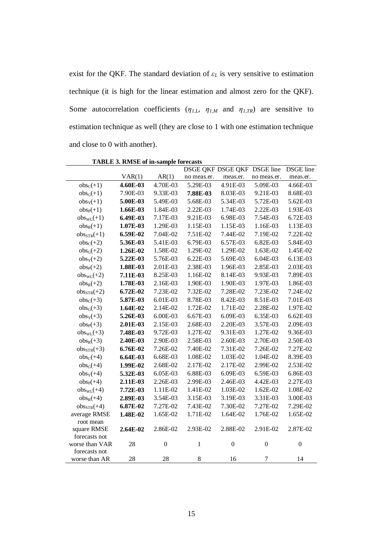exist for the QKF. The standard deviation of  $\varepsilon_L$  is very sensitive to estimation technique (it is high for the linear estimation and almost zero for the QKF). Some autocorrelation coefficients  $(\eta_{I,L}, \eta_{I,M})$  and  $(\eta_{I,TR})$  are sensitive to estimation technique as well (they are close to 1 with one estimation technique and close to 0 with another).

 $VAR(1)$   $AR(1)$ DSGE QKF DSGE QKF DSGE line no meas.er. meas.er. no meas.er. DSGE line meas.er. obs<sub>c</sub>(+1) **4.60E-03** 4.70E-03 5.29E-03 4.91E-03 5.09E-03 4.66E-03 obsG(+1) 7.90E-03 9.33E-03 **7.88E-03** 8.03E-03 9.21E-03 8.68E-03 obsY(+1) **5.00E-03** 5.49E-03 5.68E-03 5.34E-03 5.72E-03 5.62E-03 obsP(+1) **1.66E-03** 1.84E-03 2.22E-03 1.74E-03 2.22E-03 1.93E-03 obsWL(+1) **6.49E-03** 7.17E-03 9.21E-03 6.98E-03 7.54E-03 6.72E-03 obsR(+1) **1.07E-03** 1.29E-03 1.15E-03 1.15E-03 1.16E-03 1.13E-03 obsSTR(+1) **6.59E-02** 7.04E-02 7.51E-02 7.44E-02 7.19E-02 7.22E-02 obsC(+2) **5.36E-03** 5.41E-03 6.79E-03 6.57E-03 6.82E-03 5.84E-03 obsG(+2) **1.26E-02** 1.58E-02 1.29E-02 1.29E-02 1.63E-02 1.45E-02 obsY(+2) **5.22E-03** 5.76E-03 6.22E-03 5.69E-03 6.04E-03 6.13E-03 obsP(+2) **1.88E-03** 2.01E-03 2.38E-03 1.96E-03 2.85E-03 2.03E-03 obsWL(+2) **7.11E-03** 8.25E-03 1.16E-02 8.14E-03 9.93E-03 7.89E-03 obsR(+2) **1.78E-03** 2.16E-03 1.90E-03 1.90E-03 1.97E-03 1.86E-03 obsSTR(+2) **6.72E-02** 7.23E-02 7.32E-02 7.28E-02 7.23E-02 7.24E-02 obsC(+3) **5.87E-03** 6.01E-03 8.78E-03 8.42E-03 8.51E-03 7.01E-03 obsG(+3) **1.64E-02** 2.14E-02 1.72E-02 1.71E-02 2.28E-02 1.97E-02 obsY(+3) **5.26E-03** 6.00E-03 6.67E-03 6.09E-03 6.35E-03 6.62E-03 obsP(+3) **2.01E-03** 2.15E-03 2.68E-03 2.20E-03 3.57E-03 2.09E-03 obsWL(+3) **7.48E-03** 9.72E-03 1.27E-02 9.31E-03 1.27E-02 9.36E-03 obsR(+3) **2.40E-03** 2.90E-03 2.58E-03 2.60E-03 2.70E-03 2.50E-03 obsSTR(+3) **6.76E-02** 7.26E-02 7.40E-02 7.31E-02 7.26E-02 7.27E-02 obsC(+4) **6.64E-03** 6.68E-03 1.08E-02 1.03E-02 1.04E-02 8.39E-03 obsG(+4) **1.99E-02** 2.68E-02 2.17E-02 2.17E-02 2.99E-02 2.53E-02 obsY(+4) **5.32E-03** 6.05E-03 6.88E-03 6.09E-03 6.59E-03 6.86E-03 obsP(+4) **2.11E-03** 2.26E-03 2.99E-03 2.46E-03 4.42E-03 2.27E-03 obsWL(+4) **7.72E-03** 1.11E-02 1.41E-02 1.03E-02 1.62E-02 1.08E-02 obsR(+4) **2.89E-03** 3.54E-03 3.15E-03 3.19E-03 3.31E-03 3.00E-03 obsSTR(+4) **6.87E-02** 7.27E-02 7.43E-02 7.30E-02 7.27E-02 7.29E-02 average RMSE **1.48E-02** 1.65E-02 1.71E-02 1.64E-02 1.76E-02 1.65E-02 root mean square RMSE **2.64E-02** 2.86E-02 2.93E-02 2.88E-02 2.91E-02 2.87E-02 forecasts not worse than VAR  $28$  0 1 0 0 0 forecasts not worse than AR 28 28 8 16 7 14

**TABLE 3. RMSE of in-sample forecasts**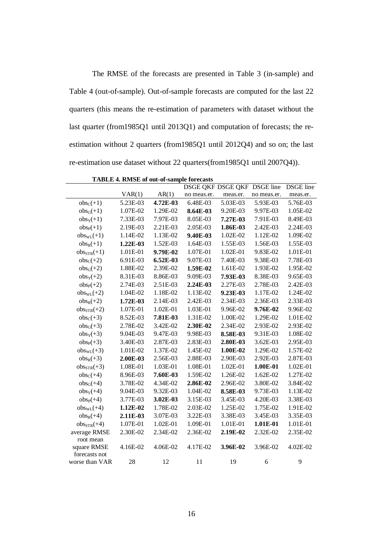The RMSE of the forecasts are presented in Table 3 (in-sample) and Table 4 (out-of-sample). Out-of-sample forecasts are computed for the last 22 quarters (this means the re-estimation of parameters with dataset without the last quarter (from1985Q1 until 2013Q1) and computation of forecasts; the reestimation without 2 quarters (from1985Q1 until 2012Q4) and so on; the last re-estimation use dataset without 22 quarters(from1985Q1 until 2007Q4)).

|                 |          |          |             | DSGE QKF DSGE QKF | <b>DSGE</b> line | <b>DSGE</b> line |
|-----------------|----------|----------|-------------|-------------------|------------------|------------------|
|                 | VAR(1)   | AR(1)    | no meas.er. | meas.er.          | no meas.er.      | meas.er.         |
| $obsC(+1)$      | 5.23E-03 | 4.72E-03 | 6.48E-03    | 5.03E-03          | 5.93E-03         | 5.76E-03         |
| $obs_G(+1)$     | 1.07E-02 | 1.29E-02 | 8.64E-03    | 9.20E-03          | 9.97E-03         | 1.05E-02         |
| $obs_Y(+1)$     | 7.33E-03 | 7.97E-03 | 8.05E-03    | 7.27E-03          | 7.91E-03         | 8.49E-03         |
| $obs_{P}(+1)$   | 2.19E-03 | 2.21E-03 | 2.05E-03    | 1.86E-03          | 2.42E-03         | 2.24E-03         |
| $obs_{WL}(+1)$  | 1.14E-02 | 1.13E-02 | 9.40E-03    | 1.02E-02          | 1.12E-02         | 1.09E-02         |
| $obs_R(+1)$     | 1.22E-03 | 1.52E-03 | 1.64E-03    | 1.55E-03          | 1.56E-03         | 1.55E-03         |
| $obsSTR(+1)$    | 1.01E-01 | 9.79E-02 | 1.07E-01    | 1.02E-01          | 9.83E-02         | 1.01E-01         |
| $obsC(+2)$      | 6.91E-03 | 6.52E-03 | 9.07E-03    | 7.40E-03          | 9.38E-03         | 7.78E-03         |
| $obs_G(+2)$     | 1.88E-02 | 2.39E-02 | 1.59E-02    | 1.61E-02          | 1.93E-02         | 1.95E-02         |
| $obs_Y(+2)$     | 8.31E-03 | 8.86E-03 | 9.09E-03    | 7.93E-03          | 8.38E-03         | 9.65E-03         |
| $obsP(+2)$      | 2.74E-03 | 2.51E-03 | 2.24E-03    | 2.27E-03          | 2.78E-03         | 2.42E-03         |
| $obs_{WL}(+2)$  | 1.04E-02 | 1.18E-02 | 1.13E-02    | 9.23E-03          | 1.17E-02         | 1.24E-02         |
| $obs_R(+2)$     | 1.72E-03 | 2.14E-03 | 2.42E-03    | 2.34E-03          | 2.36E-03         | 2.33E-03         |
| $obs_{STR}(+2)$ | 1.07E-01 | 1.02E-01 | 1.03E-01    | 9.96E-02          | 9.76E-02         | 9.96E-02         |
| $obs_C(+3)$     | 8.52E-03 | 7.81E-03 | 1.31E-02    | 1.00E-02          | 1.29E-02         | 1.01E-02         |
| $obs_G(+3)$     | 2.78E-02 | 3.42E-02 | 2.30E-02    | 2.34E-02          | 2.93E-02         | 2.93E-02         |
| $obs_Y(+3)$     | 9.04E-03 | 9.47E-03 | 9.98E-03    | 8.58E-03          | 9.31E-03         | 1.08E-02         |
| $obsP(+3)$      | 3.40E-03 | 2.87E-03 | 2.83E-03    | 2.80E-03          | 3.62E-03         | 2.95E-03         |
| $obs_{WL}(+3)$  | 1.01E-02 | 1.37E-02 | 1.45E-02    | 1.00E-02          | 1.29E-02         | 1.57E-02         |
| $obs_R(+3)$     | 2.00E-03 | 2.56E-03 | 2.88E-03    | 2.90E-03          | 2.92E-03         | 2.87E-03         |
| $obs_{STR}(+3)$ | 1.08E-01 | 1.03E-01 | 1.08E-01    | 1.02E-01          | 1.00E-01         | 1.02E-01         |
| $obs_C(+4)$     | 8.96E-03 | 7.60E-03 | 1.59E-02    | 1.26E-02          | 1.62E-02         | 1.27E-02         |
| $obs_G(+4)$     | 3.78E-02 | 4.34E-02 | 2.86E-02    | 2.96E-02          | 3.80E-02         | 3.84E-02         |
| $obs_Y(+4)$     | 9.04E-03 | 9.32E-03 | 1.04E-02    | 8.58E-03          | 9.73E-03         | 1.13E-02         |
| $obs_{P}(+4)$   | 3.77E-03 | 3.02E-03 | 3.15E-03    | 3.45E-03          | 4.20E-03         | 3.38E-03         |
| $obs_{WL}(+4)$  | 1.12E-02 | 1.78E-02 | 2.03E-02    | 1.25E-02          | 1.75E-02         | 1.91E-02         |
| $obs_R(+4)$     | 2.11E-03 | 3.07E-03 | 3.22E-03    | 3.38E-03          | 3.45E-03         | 3.35E-03         |
| $obs_{STR}(+4)$ | 1.07E-01 | 1.02E-01 | 1.09E-01    | 1.01E-01          | 1.01E-01         | 1.01E-01         |
| average RMSE    | 2.30E-02 | 2.34E-02 | 2.36E-02    | 2.19E-02          | 2.32E-02         | 2.35E-02         |
| root mean       |          |          |             |                   |                  |                  |
| square RMSE     | 4.16E-02 | 4.06E-02 | 4.17E-02    | 3.96E-02          | 3.96E-02         | 4.02E-02         |
| forecasts not   |          |          |             |                   |                  |                  |
| worse than VAR  | 28       | 12       | 11          | 19                | 6                | 9                |

**TABLE 4. RMSE of out-of-sample forecasts**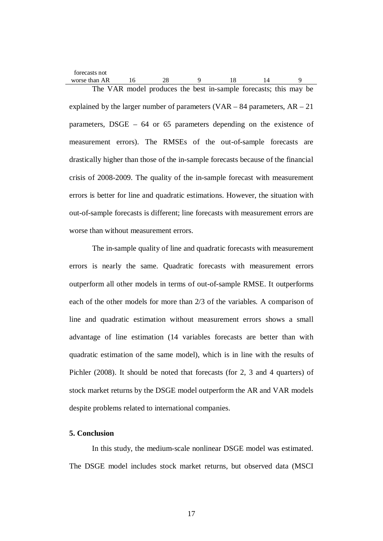| forecasts not |  |  |                                                                  |  |  |
|---------------|--|--|------------------------------------------------------------------|--|--|
| worse than AR |  |  |                                                                  |  |  |
|               |  |  | The VAR model produces the best in-sample forecasts; this may be |  |  |

explained by the larger number of parameters (VAR – 84 parameters,  $AR - 21$ ) parameters, DSGE – 64 or 65 parameters depending on the existence of measurement errors). The RMSEs of the out-of-sample forecasts are drastically higher than those of the in-sample forecasts because of the financial crisis of 2008-2009. The quality of the in-sample forecast with measurement errors is better for line and quadratic estimations. However, the situation with out-of-sample forecasts is different; line forecasts with measurement errors are worse than without measurement errors.

The in-sample quality of line and quadratic forecasts with measurement errors is nearly the same. Quadratic forecasts with measurement errors outperform all other models in terms of out-of-sample RMSE. It outperforms each of the other models for more than 2/3 of the variables. A comparison of line and quadratic estimation without measurement errors shows a small advantage of line estimation (14 variables forecasts are better than with quadratic estimation of the same model), which is in line with the results of Pichler (2008). It should be noted that forecasts (for 2, 3 and 4 quarters) of stock market returns by the DSGE model outperform the AR and VAR models despite problems related to international companies.

## **5. Conclusion**

In this study, the medium-scale nonlinear DSGE model was estimated. The DSGE model includes stock market returns, but observed data (MSCI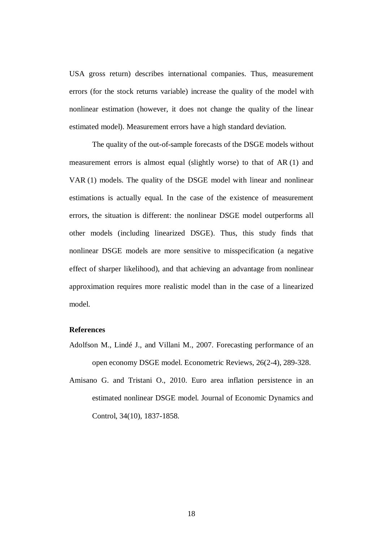USA gross return) describes international companies. Thus, measurement errors (for the stock returns variable) increase the quality of the model with nonlinear estimation (however, it does not change the quality of the linear estimated model). Measurement errors have a high standard deviation.

The quality of the out-of-sample forecasts of the DSGE models without measurement errors is almost equal (slightly worse) to that of AR (1) and VAR (1) models. The quality of the DSGE model with linear and nonlinear estimations is actually equal. In the case of the existence of measurement errors, the situation is different: the nonlinear DSGE model outperforms all other models (including linearized DSGE). Thus, this study finds that nonlinear DSGE models are more sensitive to misspecification (a negative effect of sharper likelihood), and that achieving an advantage from nonlinear approximation requires more realistic model than in the case of a linearized model.

#### **References**

- Adolfson M., Lindé J., and Villani M., 2007. Forecasting performance of an open economy DSGE model. Econometric Reviews, 26(2-4), 289-328.
- Amisano G. and Tristani O., 2010. Euro area inflation persistence in an estimated nonlinear DSGE model. Journal of Economic Dynamics and Control, 34(10), 1837-1858.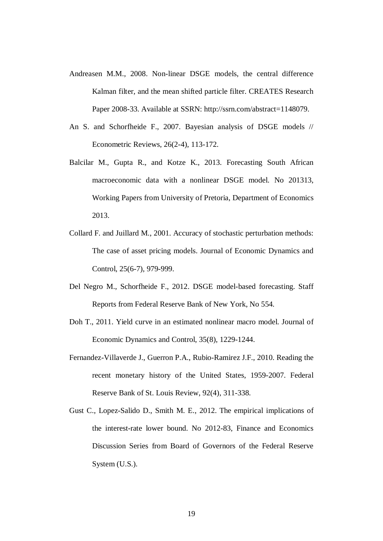- Andreasen M.M., 2008. Non-linear DSGE models, the central difference Kalman filter, and the mean shifted particle filter. CREATES Research Paper 2008-33. Available at SSRN: [http://ssrn.com/abstract=](http://ssrn.com/abstract)1148079.
- An S. and Schorfheide F., 2007. Bayesian analysis of DSGE models // Econometric Reviews, 26(2-4), 113-172.
- Balcilar M., Gupta R., and Kotze K., 2013. Forecasting South African macroeconomic data with a nonlinear DSGE model. No 201313, Working Papers from University of Pretoria, Department of Economics 2013.
- Collard F. and Juillard M., 2001. Accuracy of stochastic perturbation methods: The case of asset pricing models. Journal of Economic Dynamics and Control, 25(6-7), 979-999.
- Del Negro M., Schorfheide F., 2012. DSGE model-based forecasting. Staff Reports from Federal Reserve Bank of New York, No 554.
- Doh T., 2011. Yield curve in an estimated nonlinear macro model. Journal of Economic Dynamics and Control, 35(8), 1229-1244.
- Fernandez-Villaverde J., Guerron P.A., Rubio-Ramirez J.F., 2010. Reading the recent monetary history of the United States, 1959-2007. Federal Reserve Bank of St. Louis Review, 92(4), 311-338.
- Gust C., Lopez-Salido D., Smith M. E., 2012. The empirical implications of the interest-rate lower bound. No 2012-83, Finance and Economics Discussion Series from Board of Governors of the Federal Reserve System (U.S.).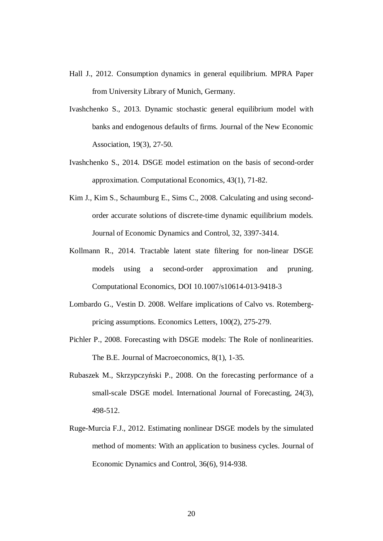- Hall J., 2012. Consumption dynamics in general equilibrium. MPRA Paper from University Library of Munich, Germany.
- Ivashchenko S., 2013. Dynamic stochastic general equilibrium model with banks and endogenous defaults of firms. Journal of the New Economic Association, 19(3), 27-50.
- Ivashchenko S., 2014. DSGE model estimation on the basis of second-order approximation. Computational Economics, 43(1), 71-82.
- Kim J., Kim S., Schaumburg E., Sims C., 2008. Calculating and using secondorder accurate solutions of discrete-time dynamic equilibrium models. Journal of Economic Dynamics and Control, 32, 3397-3414.
- Kollmann R., 2014. Tractable latent state filtering for non-linear DSGE models using a second-order approximation and pruning. Computational Economics, DOI 10.1007/s10614-013-9418-3
- Lombardo G., Vestin D. 2008. Welfare implications of Calvo vs. Rotembergpricing assumptions. Economics Letters, 100(2), 275-279.
- Pichler P., 2008. Forecasting with DSGE models: The Role of nonlinearities. The B.E. Journal of Macroeconomics, 8(1), 1-35.
- Rubaszek M., Skrzypczyński P., 2008. On the forecasting performance of a small-scale DSGE model. International Journal of Forecasting, 24(3), 498-512.
- Ruge-Murcia F.J., 2012. Estimating nonlinear DSGE models by the simulated method of moments: With an application to business cycles. Journal of Economic Dynamics and Control, 36(6), 914-938.